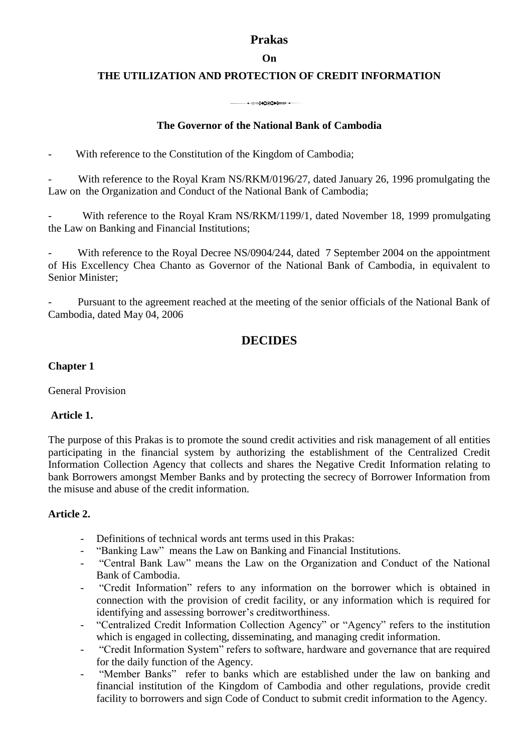# **Prakas**

## **On**

## **THE UTILIZATION AND PROTECTION OF CREDIT INFORMATION**

3

# **The Governor of the National Bank of Cambodia**

With reference to the Constitution of the Kingdom of Cambodia;

With reference to the Royal Kram NS/RKM/0196/27, dated January 26, 1996 promulgating the Law on the Organization and Conduct of the National Bank of Cambodia;

With reference to the Royal Kram NS/RKM/1199/1, dated November 18, 1999 promulgating the Law on Banking and Financial Institutions;

With reference to the Royal Decree NS/0904/244, dated 7 September 2004 on the appointment of His Excellency Chea Chanto as Governor of the National Bank of Cambodia, in equivalent to Senior Minister;

Pursuant to the agreement reached at the meeting of the senior officials of the National Bank of Cambodia, dated May 04, 2006

# **DECIDES**

## **Chapter 1**

General Provision

### **Article 1.**

The purpose of this Prakas is to promote the sound credit activities and risk management of all entities participating in the financial system by authorizing the establishment of the Centralized Credit Information Collection Agency that collects and shares the Negative Credit Information relating to bank Borrowers amongst Member Banks and by protecting the secrecy of Borrower Information from the misuse and abuse of the credit information.

# **Article 2.**

- Definitions of technical words ant terms used in this Prakas:
- "Banking Law" means the Law on Banking and Financial Institutions.
- "Central Bank Law" means the Law on the Organization and Conduct of the National Bank of Cambodia.
- "Credit Information" refers to any information on the borrower which is obtained in connection with the provision of credit facility, or any information which is required for identifying and assessing borrower's creditworthiness.
- "Centralized Credit Information Collection Agency" or "Agency" refers to the institution which is engaged in collecting, disseminating, and managing credit information.
- "Credit Information System" refers to software, hardware and governance that are required for the daily function of the Agency.
- "Member Banks" refer to banks which are established under the law on banking and financial institution of the Kingdom of Cambodia and other regulations, provide credit facility to borrowers and sign Code of Conduct to submit credit information to the Agency.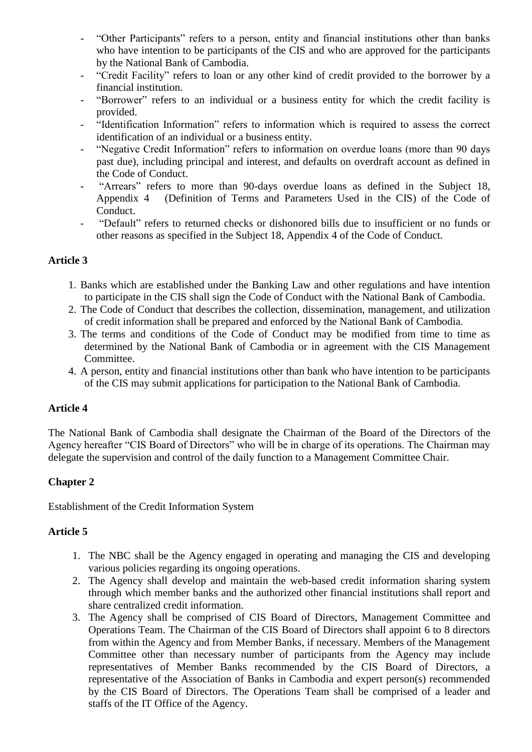- "Other Participants" refers to a person, entity and financial institutions other than banks who have intention to be participants of the CIS and who are approved for the participants by the National Bank of Cambodia.
- "Credit Facility" refers to loan or any other kind of credit provided to the borrower by a financial institution.
- "Borrower" refers to an individual or a business entity for which the credit facility is provided.
- "Identification Information" refers to information which is required to assess the correct identification of an individual or a business entity.
- "Negative Credit Information" refers to information on overdue loans (more than 90 days past due), including principal and interest, and defaults on overdraft account as defined in the Code of Conduct.
- "Arrears" refers to more than 90-days overdue loans as defined in the Subject 18, Appendix 4 (Definition of Terms and Parameters Used in the CIS) of the Code of Conduct.
- "Default" refers to returned checks or dishonored bills due to insufficient or no funds or other reasons as specified in the Subject 18, Appendix 4 of the Code of Conduct.

- 1. Banks which are established under the Banking Law and other regulations and have intention to participate in the CIS shall sign the Code of Conduct with the National Bank of Cambodia.
- 2. The Code of Conduct that describes the collection, dissemination, management, and utilization of credit information shall be prepared and enforced by the National Bank of Cambodia.
- 3. The terms and conditions of the Code of Conduct may be modified from time to time as determined by the National Bank of Cambodia or in agreement with the CIS Management Committee.
- 4. A person, entity and financial institutions other than bank who have intention to be participants of the CIS may submit applications for participation to the National Bank of Cambodia.

# **Article 4**

The National Bank of Cambodia shall designate the Chairman of the Board of the Directors of the Agency hereafter "CIS Board of Directors" who will be in charge of its operations. The Chairman may delegate the supervision and control of the daily function to a Management Committee Chair.

# **Chapter 2**

Establishment of the Credit Information System

# **Article 5**

- 1. The NBC shall be the Agency engaged in operating and managing the CIS and developing various policies regarding its ongoing operations.
- 2. The Agency shall develop and maintain the web-based credit information sharing system through which member banks and the authorized other financial institutions shall report and share centralized credit information.
- 3. The Agency shall be comprised of CIS Board of Directors, Management Committee and Operations Team. The Chairman of the CIS Board of Directors shall appoint 6 to 8 directors from within the Agency and from Member Banks, if necessary. Members of the Management Committee other than necessary number of participants from the Agency may include representatives of Member Banks recommended by the CIS Board of Directors, a representative of the Association of Banks in Cambodia and expert person(s) recommended by the CIS Board of Directors. The Operations Team shall be comprised of a leader and staffs of the IT Office of the Agency.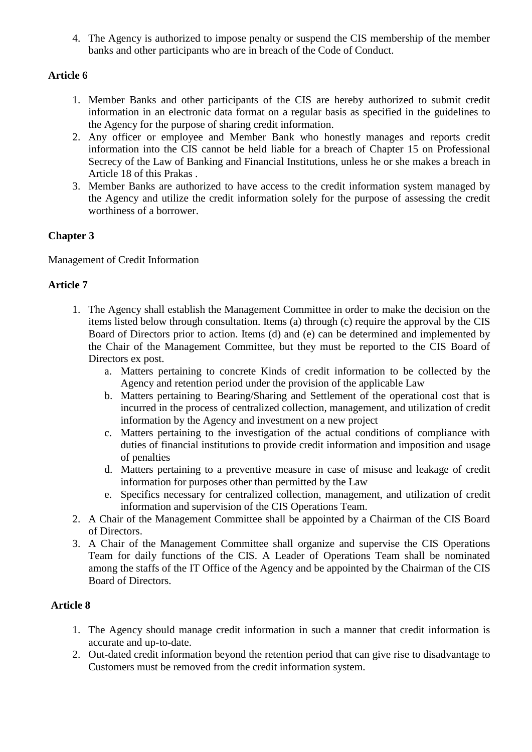4. The Agency is authorized to impose penalty or suspend the CIS membership of the member banks and other participants who are in breach of the Code of Conduct.

# **Article 6**

- 1. Member Banks and other participants of the CIS are hereby authorized to submit credit information in an electronic data format on a regular basis as specified in the guidelines to the Agency for the purpose of sharing credit information.
- 2. Any officer or employee and Member Bank who honestly manages and reports credit information into the CIS cannot be held liable for a breach of Chapter 15 on Professional Secrecy of the Law of Banking and Financial Institutions, unless he or she makes a breach in Article 18 of this Prakas .
- 3. Member Banks are authorized to have access to the credit information system managed by the Agency and utilize the credit information solely for the purpose of assessing the credit worthiness of a borrower.

# **Chapter 3**

Management of Credit Information

# **Article 7**

- 1. The Agency shall establish the Management Committee in order to make the decision on the items listed below through consultation. Items (a) through (c) require the approval by the CIS Board of Directors prior to action. Items (d) and (e) can be determined and implemented by the Chair of the Management Committee, but they must be reported to the CIS Board of Directors ex post.
	- a. Matters pertaining to concrete Kinds of credit information to be collected by the Agency and retention period under the provision of the applicable Law
	- b. Matters pertaining to Bearing/Sharing and Settlement of the operational cost that is incurred in the process of centralized collection, management, and utilization of credit information by the Agency and investment on a new project
	- c. Matters pertaining to the investigation of the actual conditions of compliance with duties of financial institutions to provide credit information and imposition and usage of penalties
	- d. Matters pertaining to a preventive measure in case of misuse and leakage of credit information for purposes other than permitted by the Law
	- e. Specifics necessary for centralized collection, management, and utilization of credit information and supervision of the CIS Operations Team.
- 2. A Chair of the Management Committee shall be appointed by a Chairman of the CIS Board of Directors.
- 3. A Chair of the Management Committee shall organize and supervise the CIS Operations Team for daily functions of the CIS. A Leader of Operations Team shall be nominated among the staffs of the IT Office of the Agency and be appointed by the Chairman of the CIS Board of Directors.

# **Article 8**

- 1. The Agency should manage credit information in such a manner that credit information is accurate and up-to-date.
- 2. Out-dated credit information beyond the retention period that can give rise to disadvantage to Customers must be removed from the credit information system.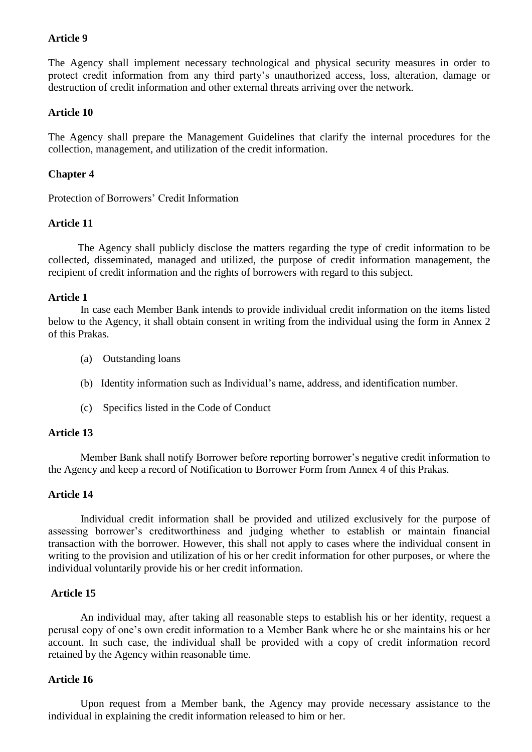The Agency shall implement necessary technological and physical security measures in order to protect credit information from any third party's unauthorized access, loss, alteration, damage or destruction of credit information and other external threats arriving over the network.

### **Article 10**

The Agency shall prepare the Management Guidelines that clarify the internal procedures for the collection, management, and utilization of the credit information.

#### **Chapter 4**

Protection of Borrowers' Credit Information

#### **Article 11**

 The Agency shall publicly disclose the matters regarding the type of credit information to be collected, disseminated, managed and utilized, the purpose of credit information management, the recipient of credit information and the rights of borrowers with regard to this subject.

#### **Article 1**

In case each Member Bank intends to provide individual credit information on the items listed below to the Agency, it shall obtain consent in writing from the individual using the form in Annex 2 of this Prakas.

- (a) Outstanding loans
- (b) Identity information such as Individual's name, address, and identification number.
- (c) Specifics listed in the Code of Conduct

#### **Article 13**

 Member Bank shall notify Borrower before reporting borrower's negative credit information to the Agency and keep a record of Notification to Borrower Form from Annex 4 of this Prakas.

#### **Article 14**

 Individual credit information shall be provided and utilized exclusively for the purpose of assessing borrower's creditworthiness and judging whether to establish or maintain financial transaction with the borrower. However, this shall not apply to cases where the individual consent in writing to the provision and utilization of his or her credit information for other purposes, or where the individual voluntarily provide his or her credit information.

### **Article 15**

 An individual may, after taking all reasonable steps to establish his or her identity, request a perusal copy of one's own credit information to a Member Bank where he or she maintains his or her account. In such case, the individual shall be provided with a copy of credit information record retained by the Agency within reasonable time.

#### **Article 16**

 Upon request from a Member bank, the Agency may provide necessary assistance to the individual in explaining the credit information released to him or her.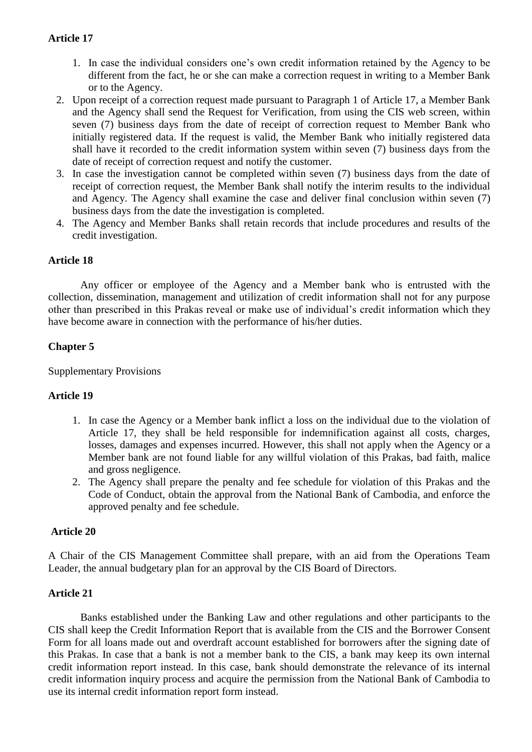- 1. In case the individual considers one's own credit information retained by the Agency to be different from the fact, he or she can make a correction request in writing to a Member Bank or to the Agency.
- 2. Upon receipt of a correction request made pursuant to Paragraph 1 of Article 17, a Member Bank and the Agency shall send the Request for Verification, from using the CIS web screen, within seven (7) business days from the date of receipt of correction request to Member Bank who initially registered data. If the request is valid, the Member Bank who initially registered data shall have it recorded to the credit information system within seven (7) business days from the date of receipt of correction request and notify the customer.
- 3. In case the investigation cannot be completed within seven (7) business days from the date of receipt of correction request, the Member Bank shall notify the interim results to the individual and Agency. The Agency shall examine the case and deliver final conclusion within seven (7) business days from the date the investigation is completed.
- 4. The Agency and Member Banks shall retain records that include procedures and results of the credit investigation.

# **Article 18**

 Any officer or employee of the Agency and a Member bank who is entrusted with the collection, dissemination, management and utilization of credit information shall not for any purpose other than prescribed in this Prakas reveal or make use of individual's credit information which they have become aware in connection with the performance of his/her duties.

## **Chapter 5**

### Supplementary Provisions

### **Article 19**

- 1. In case the Agency or a Member bank inflict a loss on the individual due to the violation of Article 17, they shall be held responsible for indemnification against all costs, charges, losses, damages and expenses incurred. However, this shall not apply when the Agency or a Member bank are not found liable for any willful violation of this Prakas, bad faith, malice and gross negligence.
- 2. The Agency shall prepare the penalty and fee schedule for violation of this Prakas and the Code of Conduct, obtain the approval from the National Bank of Cambodia, and enforce the approved penalty and fee schedule.

### **Article 20**

A Chair of the CIS Management Committee shall prepare, with an aid from the Operations Team Leader, the annual budgetary plan for an approval by the CIS Board of Directors.

### **Article 21**

 Banks established under the Banking Law and other regulations and other participants to the CIS shall keep the Credit Information Report that is available from the CIS and the Borrower Consent Form for all loans made out and overdraft account established for borrowers after the signing date of this Prakas. In case that a bank is not a member bank to the CIS, a bank may keep its own internal credit information report instead. In this case, bank should demonstrate the relevance of its internal credit information inquiry process and acquire the permission from the National Bank of Cambodia to use its internal credit information report form instead.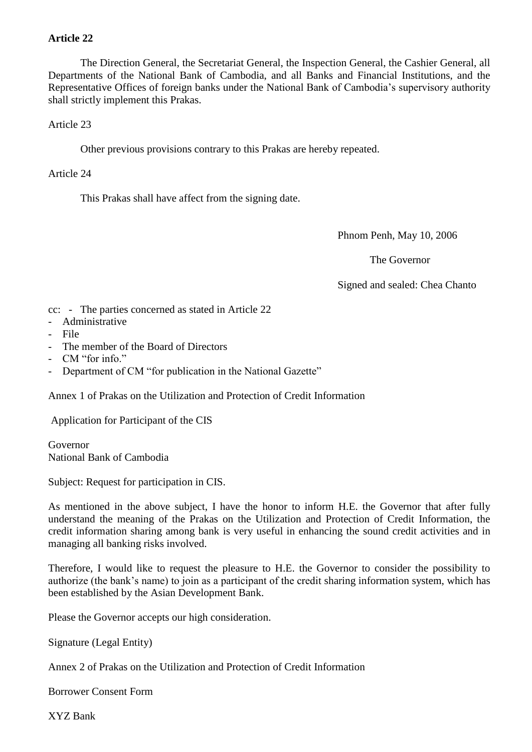The Direction General, the Secretariat General, the Inspection General, the Cashier General, all Departments of the National Bank of Cambodia, and all Banks and Financial Institutions, and the Representative Offices of foreign banks under the National Bank of Cambodia's supervisory authority shall strictly implement this Prakas.

Article 23

Other previous provisions contrary to this Prakas are hereby repeated.

Article 24

This Prakas shall have affect from the signing date.

Phnom Penh, May 10, 2006

The Governor

Signed and sealed: Chea Chanto

cc: - The parties concerned as stated in Article 22

- Administrative
- File
- The member of the Board of Directors
- CM "for info."
- Department of CM "for publication in the National Gazette"

Annex 1 of Prakas on the Utilization and Protection of Credit Information

Application for Participant of the CIS

Governor National Bank of Cambodia

Subject: Request for participation in CIS.

As mentioned in the above subject, I have the honor to inform H.E. the Governor that after fully understand the meaning of the Prakas on the Utilization and Protection of Credit Information, the credit information sharing among bank is very useful in enhancing the sound credit activities and in managing all banking risks involved.

Therefore, I would like to request the pleasure to H.E. the Governor to consider the possibility to authorize (the bank's name) to join as a participant of the credit sharing information system, which has been established by the Asian Development Bank.

Please the Governor accepts our high consideration.

Signature (Legal Entity)

Annex 2 of Prakas on the Utilization and Protection of Credit Information

Borrower Consent Form

XYZ Bank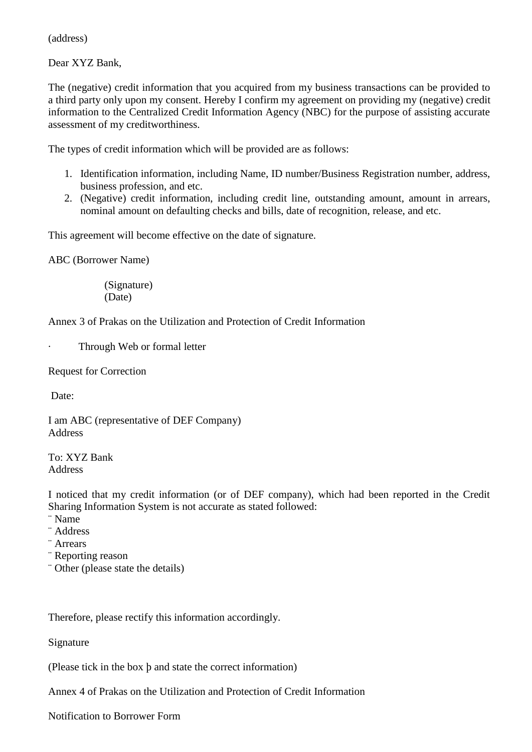(address)

Dear XYZ Bank,

The (negative) credit information that you acquired from my business transactions can be provided to a third party only upon my consent. Hereby I confirm my agreement on providing my (negative) credit information to the Centralized Credit Information Agency (NBC) for the purpose of assisting accurate assessment of my creditworthiness.

The types of credit information which will be provided are as follows:

- 1. Identification information, including Name, ID number/Business Registration number, address, business profession, and etc.
- 2. (Negative) credit information, including credit line, outstanding amount, amount in arrears, nominal amount on defaulting checks and bills, date of recognition, release, and etc.

This agreement will become effective on the date of signature.

ABC (Borrower Name)

 (Signature) (Date)

Annex 3 of Prakas on the Utilization and Protection of Credit Information

Through Web or formal letter

Request for Correction

Date:

I am ABC (representative of DEF Company) Address

To: XYZ Bank Address

I noticed that my credit information (or of DEF company), which had been reported in the Credit Sharing Information System is not accurate as stated followed:

¨ Name

¨ Address

¨ Arrears

¨ Reporting reason

¨ Other (please state the details)

Therefore, please rectify this information accordingly.

Signature

(Please tick in the box þ and state the correct information)

Annex 4 of Prakas on the Utilization and Protection of Credit Information

Notification to Borrower Form